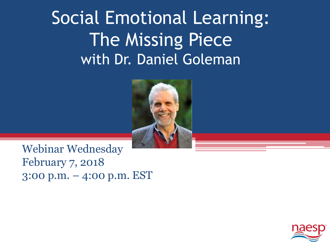### Social Emotional Learning: The Missing Piece with Dr. Daniel Goleman



Webinar Wednesday February 7, 2018 3:00 p.m. – 4:00 p.m. EST

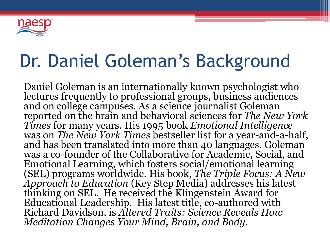

### Dr. Daniel Goleman's Background

Daniel Goleman is an internationally known psychologist who lectures frequently to professional groups, business audiences and on college campuses. As a science journalist Goleman reported on the brain and behavioral sciences for *The New York Times* for many years. His 1995 book *Emotional Intelligence* was on *The New York Times* bestseller list for a year-and-a-half, and has been translated into more than 40 languages. Goleman was a co-founder of the Collaborative for Academic, Social, and Emotional Learning, which fosters social/emotional learning (SEL) programs worldwide. His book, *The Triple Focus: A New Approach to Education* (Key Step Media) addresses his latest thinking on SEL. He received the Klingenstein Award for Educational Leadership. His latest title, co-authored with Richard Davidson, is *Altered Traits: Science Reveals How Meditation Changes Your Mind, Brain, and Body.*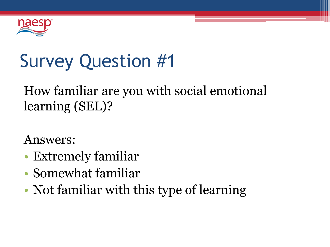

# Survey Question #1

### How familiar are you with social emotional learning (SEL)?

Answers:

- Extremely familiar
- Somewhat familiar
- Not familiar with this type of learning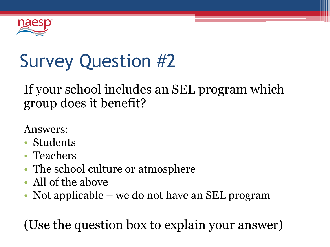

# Survey Question #2

#### If your school includes an SEL program which group does it benefit?

Answers:

- Students
- Teachers
- The school culture or atmosphere
- All of the above
- Not applicable we do not have an SEL program

(Use the question box to explain your answer)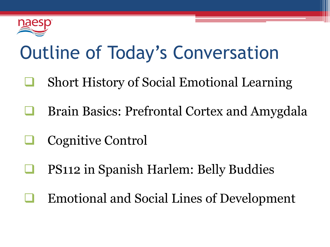

## Outline of Today's Conversation

- Short History of Social Emotional Learning
- Brain Basics: Prefrontal Cortex and Amygdala
- Cognitive Control
- PS112 in Spanish Harlem: Belly Buddies
- Emotional and Social Lines of Development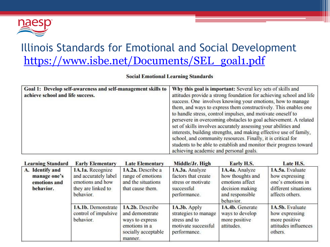

#### Illinois Standards for Emotional and Social Development [https://www.isbe.net/Documents/SEL\\_goal1.pdf](https://www.isbe.net/Documents/SEL_goal1.pdf)

**Social Emotional Learning Standards** 

| Goal 1: Develop self-awareness and self-management skills to<br>achieve school and life success. | Why this goal is important: Several key sets of skills and<br>attitudes provide a strong foundation for achieving school and life<br>success. One involves knowing your emotions, how to manage<br>them, and ways to express them constructively. This enables one<br>to handle stress, control impulses, and motivate oneself to<br>persevere in overcoming obstacles to goal achievement. A related<br>set of skills involves accurately assessing your abilities and<br>interests, building strengths, and making effective use of family,<br>school, and community resources. Finally, it is critical for<br>students to be able to establish and monitor their progress toward<br>achieving academic and personal goals. |
|--------------------------------------------------------------------------------------------------|-------------------------------------------------------------------------------------------------------------------------------------------------------------------------------------------------------------------------------------------------------------------------------------------------------------------------------------------------------------------------------------------------------------------------------------------------------------------------------------------------------------------------------------------------------------------------------------------------------------------------------------------------------------------------------------------------------------------------------|
|--------------------------------------------------------------------------------------------------|-------------------------------------------------------------------------------------------------------------------------------------------------------------------------------------------------------------------------------------------------------------------------------------------------------------------------------------------------------------------------------------------------------------------------------------------------------------------------------------------------------------------------------------------------------------------------------------------------------------------------------------------------------------------------------------------------------------------------------|

| <b>Learning Standard</b>                                     | <b>Early Elementary</b>                                                                         | <b>Late Elementary</b>                                                                                   | Middle/Jr. High                                                                              | Early H.S.                                                                                               | Late H.S.                                                                                         |
|--------------------------------------------------------------|-------------------------------------------------------------------------------------------------|----------------------------------------------------------------------------------------------------------|----------------------------------------------------------------------------------------------|----------------------------------------------------------------------------------------------------------|---------------------------------------------------------------------------------------------------|
| A. Identify and<br>manage one's<br>emotions and<br>behavior. | 1A.1a. Recognize<br>and accurately label<br>emotions and how<br>they are linked to<br>behavior. | 1A.2a. Describe a<br>range of emotions<br>and the situations<br>that cause them.                         | 1A.3a. Analyze<br>factors that create<br>stress or motivate<br>successful<br>performance.    | 1A.4a. Analyze<br>how thoughts and<br>emotions affect<br>decision making<br>and responsible<br>behavior. | 1A.5a. Evaluate<br>how expressing<br>one's emotions in<br>different situations<br>affects others. |
|                                                              | 1A.1b. Demonstrate<br>control of impulsive<br>behavior.                                         | 1A.2b. Describe<br>and demonstrate<br>ways to express<br>emotions in a<br>socially acceptable<br>manner. | 1A.3b. Apply<br>strategies to manage<br>stress and to<br>motivate successful<br>performance. | 1A.4b. Generate<br>ways to develop<br>more positive<br>attitudes.                                        | 1A.5b. Evaluate<br>how expressing<br>more positive<br>attitudes influences<br>others.             |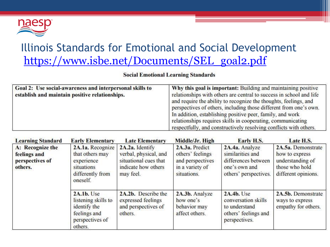

#### Illinois Standards for Emotional and Social Development [https://www.isbe.net/Documents/SEL\\_goal2.pdf](https://www.isbe.net/Documents/SEL_goal1.pdf)

| Goal 2: Use social-awareness and interpersonal skills to<br>establish and maintain positive relationships. | Why this goal is important: Building and maintaining positive<br>relationships with others are central to success in school and life<br>and require the ability to recognize the thoughts, feelings, and<br>perspectives of others, including those different from one's own.<br>In addition, establishing positive peer, family, and work<br>relationships requires skills in cooperating, communicating |
|------------------------------------------------------------------------------------------------------------|-----------------------------------------------------------------------------------------------------------------------------------------------------------------------------------------------------------------------------------------------------------------------------------------------------------------------------------------------------------------------------------------------------------|
|                                                                                                            | respectfully, and constructively resolving conflicts with others.                                                                                                                                                                                                                                                                                                                                         |

|  | <b>Social Emotional Learning Standards</b> |  |  |  |
|--|--------------------------------------------|--|--|--|
|--|--------------------------------------------|--|--|--|

| <b>Learning Standard</b>                                       | <b>Early Elementary</b>                                                                         | <b>Late Elementary</b>                                                                                | Middle/Jr. High                                                                          | Early H.S.                                                                                          | Late H.S.                                                                                         |
|----------------------------------------------------------------|-------------------------------------------------------------------------------------------------|-------------------------------------------------------------------------------------------------------|------------------------------------------------------------------------------------------|-----------------------------------------------------------------------------------------------------|---------------------------------------------------------------------------------------------------|
| A: Recognize the<br>feelings and<br>perspectives of<br>others. | 2A.1a. Recognize<br>that others may<br>experience<br>situations<br>differently from<br>oneself. | 2A.2a. Identify<br>verbal, physical, and<br>situational cues that<br>indicate how others<br>may feel. | 2A.3a. Predict<br>others' feelings<br>and perspectives<br>in a variety of<br>situations. | 2A.4a. Analyze<br>similarities and<br>differences between<br>one's own and<br>others' perspectives. | 2A.5a. Demonstrate<br>how to express<br>understanding of<br>those who hold<br>different opinions. |
|                                                                | 2A.1b. Use<br>listening skills to<br>identify the<br>feelings and<br>perspectives of<br>others. | 2A.2b. Describe the<br>expressed feelings<br>and perspectives of<br>others.                           | 2A.3b. Analyze<br>how one's<br>behavior may<br>affect others.                            | 2A.4b. Use<br>conversation skills<br>to understand<br>others' feelings and<br>perspectives.         | 2A.5b. Demonstrate<br>ways to express<br>empathy for others.                                      |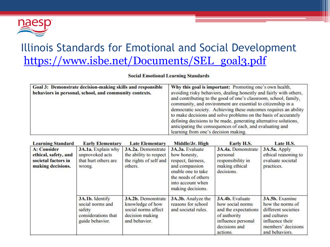

#### Illinois Standards for Emotional and Social Development [https://www.isbe.net/Documents/SEL\\_goal3.pdf](https://www.isbe.net/Documents/SEL_goal1.pdf)

**Social Emotional Learning Standards** 

| Goal 3: Demonstrate decision-making skills and responsible<br>behaviors in personal, school, and community contexts. | Why this goal is important: Promoting one's own health,<br>avoiding risky behaviors, dealing honestly and fairly with others,<br>and contributing to the good of one's classroom, school, family,<br>community, and environment are essential to citizenship in a<br>democratic society. Achieving these outcomes requires an ability<br>to make decisions and solve problems on the basis of accurately<br>defining decisions to be made, generating alternative solutions,<br>anticipating the consequences of each, and evaluating and<br>learning from one's decision making. |
|----------------------------------------------------------------------------------------------------------------------|-----------------------------------------------------------------------------------------------------------------------------------------------------------------------------------------------------------------------------------------------------------------------------------------------------------------------------------------------------------------------------------------------------------------------------------------------------------------------------------------------------------------------------------------------------------------------------------|
|----------------------------------------------------------------------------------------------------------------------|-----------------------------------------------------------------------------------------------------------------------------------------------------------------------------------------------------------------------------------------------------------------------------------------------------------------------------------------------------------------------------------------------------------------------------------------------------------------------------------------------------------------------------------------------------------------------------------|

| <b>Learning Standard</b>                                                               | <b>Early Elementary</b>                                                                 | <b>Late Elementary</b>                                                                            | Middle/Jr. High                                                                                                                                                | Early H.S.                                                                                                                     | Late H.S.                                                                                                                            |
|----------------------------------------------------------------------------------------|-----------------------------------------------------------------------------------------|---------------------------------------------------------------------------------------------------|----------------------------------------------------------------------------------------------------------------------------------------------------------------|--------------------------------------------------------------------------------------------------------------------------------|--------------------------------------------------------------------------------------------------------------------------------------|
| <b>A: Consider</b><br>ethical, safety, and<br>societal factors in<br>making decisions. | 3A.1a. Explain why<br>unprovoked acts<br>that hurt others are<br>wrong.                 | 3A.2a. Demonstrate<br>the ability to respect<br>the rights of self and<br>others.                 | 3A.3a. Evaluate<br>how honesty,<br>respect, fairness,<br>and compassion<br>enable one to take<br>the needs of others<br>into account when<br>making decisions. | 3A.4a. Demonstrate<br>personal<br>responsibility in<br>making ethical<br>decisions.                                            | 3A.5a. Apply<br>ethical reasoning to<br>evaluate societal<br>practices.                                                              |
|                                                                                        | 3A.1b. Identify<br>social norms and<br>safety<br>considerations that<br>guide behavior. | 3A.2b. Demonstrate<br>knowledge of how<br>social norms affect<br>decision making<br>and behavior. | 3A.3b. Analyze the<br>reasons for school<br>and societal rules.                                                                                                | 3A.4b. Evaluate<br>how social norms<br>and the expectations<br>of authority<br>influence personal<br>decisions and<br>actions. | 3A.5b. Examine<br>how the norms of<br>different societies<br>and cultures<br>influence their<br>members' decisions<br>and behaviors. |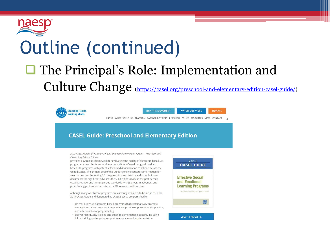

# Outline (continued)

### **□** The Principal's Role: Implementation and Culture Change (<https://casel.org/preschool-and-elementary-edition-casel-guide/>)



**JOIN THE MOVEMENT WATCH OUR VIDEO** 

**DONATE** 

ABOUT WHAT IS SEL? SEL IN ACTION PARTNER DISTRICTS RESEARCH POLICY RESOURCES NEWS CONTACT

#### **CASEL Guide: Preschool and Elementary Edition**

2013 CASEL Guide: Effective Social and Emotional Learning Programs-Preschool and **Elementary School Edition** 

provides a systematic framework for evaluating the quality of classroom-based SEL programs. It uses this framework to rate and identify well-designed, evidencebased SEL programs with potential for broad dissemination to schools across the United States. The primary goal of the Guide is to give educators information for selecting and implementing SEL programs in their districts and schools. It also documents the significant advances the SEL field has made in the past decade, establishes new and more rigorous standards for SEL program adoption, and provides suggestions for next steps for SEL research and practice.

Although many worthwhile programs are currently available, to be included in the 2013 CASEL Guide and designated as CASEL SELect, programs had to:

- . Be well-designed classroom-based programs that systematically promote students' social and emotional competence, provide opportunities for practice, and offer multi-year programming.
- · Deliver high-quality training and other implementation supports, including initial training and ongoing support to ensure sound implementation.



VIEW THE PDF (2013)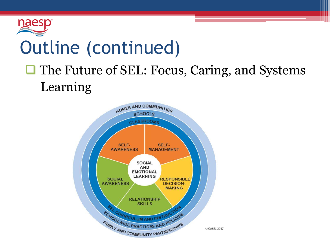

# Outline (continued)

### **□ The Future of SEL: Focus, Caring, and Systems** Learning

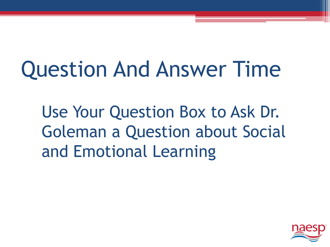# Question And Answer Time

Use Your Question Box to Ask Dr. Goleman a Question about Social and Emotional Learning